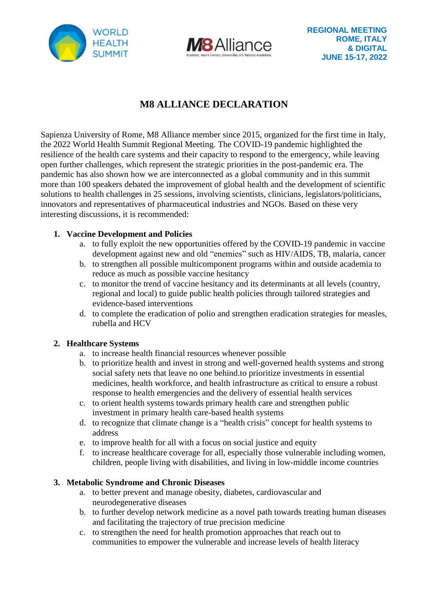



# **M8 ALLIANCE DECLARATION**

Sapienza University of Rome, M8 Alliance member since 2015, organized for the first time in Italy, the 2022 World Health Summit Regional Meeting. The COVID-19 pandemic highlighted the resilience of the health care systems and their capacity to respond to the emergency, while leaving open further challenges, which represent the strategic priorities in the post-pandemic era. The pandemic has also shown how we are interconnected as a global community and in this summit more than 100 speakers debated the improvement of global health and the development of scientific solutions to health challenges in 25 sessions, involving scientists, clinicians, legislators/politicians, innovators and representatives of pharmaceutical industries and NGOs. Based on these very interesting discussions, it is recommended:

## **1. Vaccine Development and Policies**

- a. to fully exploit the new opportunities offered by the COVID-19 pandemic in vaccine development against new and old "enemies" such as HIV/AIDS, TB, malaria, cancer
- b. to strengthen all possible multicomponent programs within and outside academia to reduce as much as possible vaccine hesitancy
- c. to monitor the trend of vaccine hesitancy and its determinants at all levels (country, regional and local) to guide public health policies through tailored strategies and evidence-based interventions
- d. to complete the eradication of polio and strengthen eradication strategies for measles, rubella and HCV

### **2. Healthcare Systems**

- a. to increase health financial resources whenever possible
- b. to prioritize health and invest in strong and well-governed health systems and strong social safety nets that leave no one behind.to prioritize investments in essential medicines, health workforce, and health infrastructure as critical to ensure a robust response to health emergencies and the delivery of essential health services
- c. to orient health systems towards primary health care and strengthen public investment in primary health care-based health systems
- d. to recognize that climate change is a "health crisis" concept for health systems to address
- e. to improve health for all with a focus on social justice and equity
- f. to increase healthcare coverage for all, especially those vulnerable including women, children, people living with disabilities, and living in low-middle income countries

### **3. Metabolic Syndrome and Chronic Diseases**

- a. to better prevent and manage obesity, diabetes, cardiovascular and neurodegenerative diseases
- b. to further develop network medicine as a novel path towards treating human diseases and facilitating the trajectory of true precision medicine
- c. to strengthen the need for health promotion approaches that reach out to communities to empower the vulnerable and increase levels of health literacy